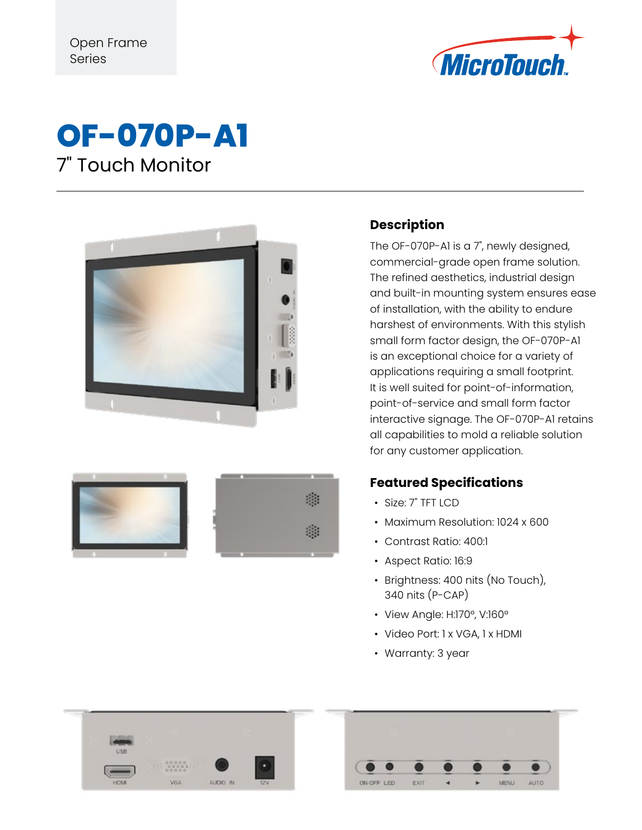







## **Description**

The OF-070P-A1 is a 7", newly designed, commercial-grade open frame solution. The refined aesthetics, industrial design and built-in mounting system ensures ease of installation, with the ability to endure harshest of environments. With this stylish small form factor design, the OF-070P-A1 is an exceptional choice for a variety of applications requiring a small footprint. It is well suited for point-of-information, point-of-service and small form factor interactive signage. The OF-070P-A1 retains all capabilities to mold a reliable solution for any customer application.

## **Featured Specifications**

- Size: 7" TFT LCD
- Maximum Resolution: 1024 x 600
- Contrast Ratio: 400:1
- Aspect Ratio: 16:9
- Brightness: 400 nits (No Touch), 340 nits (P-CAP)
- View Angle: H:170°, V:160°
- Video Port: 1 x VGA, 1 x HDMI
- Warranty: 3 year